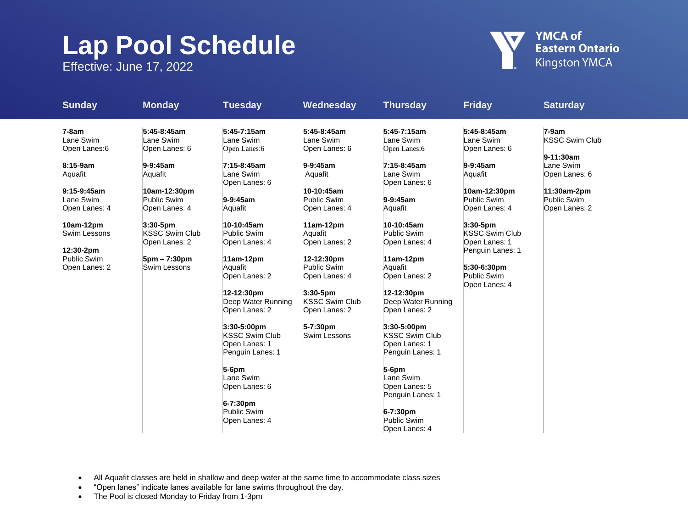## **Lap Pool Schedule**

Effective: June 17, 2022



| <b>Sunday</b>                                                                                                                                                                        | <b>Monday</b>                                                                                                                                                                                             | <b>Tuesday</b>                                                                                                                                                                                                                                                                                                                                                                                                         | Wednesday                                                                                                                                                                                                                                                                                    | <b>Thursday</b>                                                                                                                                                                                                                                                                                                                                                                                                             | <b>Friday</b>                                                                                                                                                                                                                                            | <b>Saturday</b>                                                                                                              |
|--------------------------------------------------------------------------------------------------------------------------------------------------------------------------------------|-----------------------------------------------------------------------------------------------------------------------------------------------------------------------------------------------------------|------------------------------------------------------------------------------------------------------------------------------------------------------------------------------------------------------------------------------------------------------------------------------------------------------------------------------------------------------------------------------------------------------------------------|----------------------------------------------------------------------------------------------------------------------------------------------------------------------------------------------------------------------------------------------------------------------------------------------|-----------------------------------------------------------------------------------------------------------------------------------------------------------------------------------------------------------------------------------------------------------------------------------------------------------------------------------------------------------------------------------------------------------------------------|----------------------------------------------------------------------------------------------------------------------------------------------------------------------------------------------------------------------------------------------------------|------------------------------------------------------------------------------------------------------------------------------|
| $7-8am$<br>Lane Swim<br>Open Lanes:6<br>8:15-9am<br>Aquafit<br>$9:15-9:45am$<br>Lane Swim<br>Open Lanes: 4<br>10am-12pm<br>Swim Lessons<br>12:30-2pm<br>Public Swim<br>Open Lanes: 2 | 5:45-8:45am<br>Lane Swim<br>Open Lanes: 6<br>9-9:45am<br>Aquafit<br>10am-12:30pm<br>Public Swim<br>Open Lanes: 4<br>$3:30-5$ pm<br><b>KSSC Swim Club</b><br>Open Lanes: 2<br>5pm - 7:30pm<br>Swim Lessons | 5:45-7:15am<br>Lane Swim<br>Open Lanes:6<br>7:15-8:45am<br>Lane Swim<br>Open Lanes: 6<br>$9-9:45am$<br>Aquafit<br>10-10:45am<br>Public Swim<br>Open Lanes: 4<br>11am-12pm<br>Aquafit<br>Open Lanes: 2<br>12-12:30pm<br>Deep Water Running<br>Open Lanes: 2<br>$3:30-5:00 \text{pm}$<br><b>KSSC Swim Club</b><br>Open Lanes: 1<br>Penguin Lanes: 1<br>$5-6$ pm<br>Lane Swim<br>Open Lanes: 6<br>6-7:30pm<br>Public Swim | 5:45-8:45am<br>Lane Swim<br>Open Lanes: 6<br>$9-9:45am$<br>Aquafit<br>10-10:45am<br>Public Swim<br>Open Lanes: 4<br>11am-12pm<br>Aquafit<br>Open Lanes: 2<br>12-12:30pm<br>Public Swim<br>Open Lanes: 4<br>$3:30-5$ pm<br><b>KSSC Swim Club</b><br>Open Lanes: 2<br>5-7:30pm<br>Swim Lessons | 5:45-7:15am<br>Lane Swim<br>Open Lanes:6<br>7:15-8:45am<br>Lane Swim<br>Open Lanes: 6<br>$9-9:45am$<br>Aquafit<br>10-10:45am<br>Public Swim<br>Open Lanes: 4<br>11am-12pm<br>Aquafit<br>Open Lanes: 2<br>12-12:30pm<br>Deep Water Running<br>Open Lanes: 2<br>$3:30-5:00 \text{pm}$<br><b>KSSC Swim Club</b><br>Open Lanes: 1<br>Penguin Lanes: 1<br>$5-6$ pm<br>Lane Swim<br>Open Lanes: 5<br>Penguin Lanes: 1<br>6-7:30pm | 5:45-8:45am<br>Lane Swim<br>Open Lanes: 6<br>$9 - 9:45$ am<br>Aquafit<br>10am-12:30pm<br><b>Public Swim</b><br>Open Lanes: 4<br>$3:30-5$ pm<br><b>KSSC Swim Club</b><br>Open Lanes: 1<br>Penguin Lanes: 1<br>5:30-6:30pm<br>Public Swim<br>Open Lanes: 4 | $7-9am$<br><b>KSSC Swim Club</b><br>$9-11:30am$<br>Lane Swim<br>Open Lanes: 6<br>11:30am-2pm<br>Public Swim<br>Open Lanes: 2 |
|                                                                                                                                                                                      |                                                                                                                                                                                                           | Open Lanes: 4                                                                                                                                                                                                                                                                                                                                                                                                          |                                                                                                                                                                                                                                                                                              | Public Swim<br>Open Lanes: 4                                                                                                                                                                                                                                                                                                                                                                                                |                                                                                                                                                                                                                                                          |                                                                                                                              |

- All Aquafit classes are held in shallow and deep water at the same time to accommodate class sizes
- "Open lanes" indicate lanes available for lane swims throughout the day.
- The Pool is closed Monday to Friday from 1-3pm